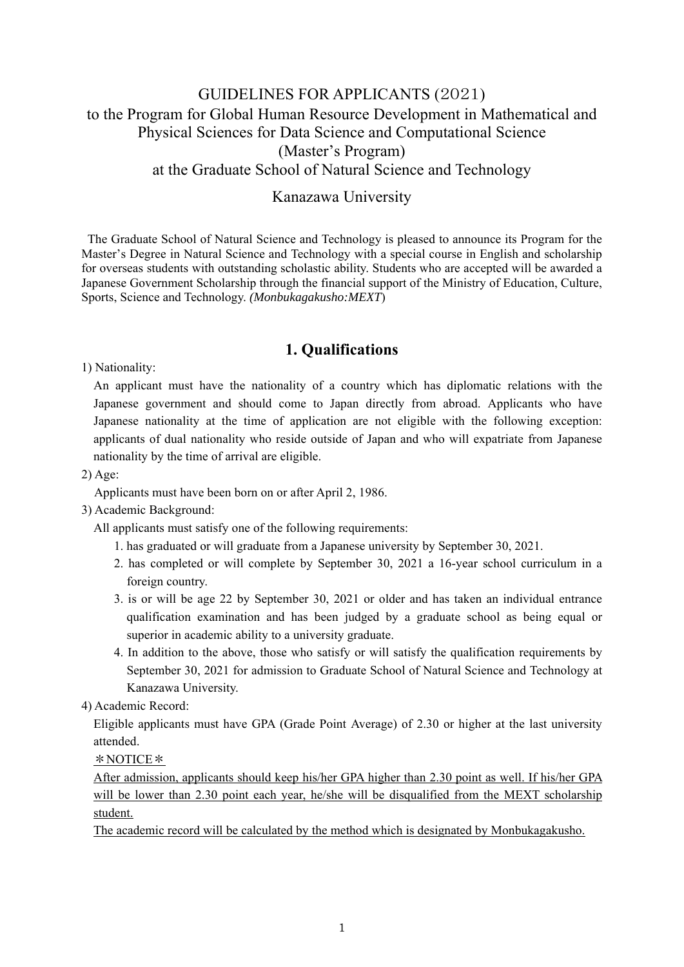# GUIDELINES FOR APPLICANTS (2021) to the Program for Global Human Resource Development in Mathematical and Physical Sciences for Data Science and Computational Science (Master's Program) at the Graduate School of Natural Science and Technology

## Kanazawa University

The Graduate School of Natural Science and Technology is pleased to announce its Program for the Master's Degree in Natural Science and Technology with a special course in English and scholarship for overseas students with outstanding scholastic ability. Students who are accepted will be awarded a Japanese Government Scholarship through the financial support of the Ministry of Education, Culture, Sports, Science and Technology. *(Monbukagakusho:MEXT*)

## **1. Qualifications**

1) Nationality:

An applicant must have the nationality of a country which has diplomatic relations with the Japanese government and should come to Japan directly from abroad. Applicants who have Japanese nationality at the time of application are not eligible with the following exception: applicants of dual nationality who reside outside of Japan and who will expatriate from Japanese nationality by the time of arrival are eligible.

2) Age:

Applicants must have been born on or after April 2, 1986.

3) Academic Background:

All applicants must satisfy one of the following requirements:

- 1. has graduated or will graduate from a Japanese university by September 30, 2021.
- 2. has completed or will complete by September 30, 2021 a 16-year school curriculum in a foreign country.
- 3. is or will be age 22 by September 30, 2021 or older and has taken an individual entrance qualification examination and has been judged by a graduate school as being equal or superior in academic ability to a university graduate.
- 4. In addition to the above, those who satisfy or will satisfy the qualification requirements by September 30, 2021 for admission to Graduate School of Natural Science and Technology at Kanazawa University.

4) Academic Record:

Eligible applicants must have GPA (Grade Point Average) of 2.30 or higher at the last university attended.

\*NOTICE\*

After admission, applicants should keep his/her GPA higher than 2.30 point as well. If his/her GPA will be lower than 2.30 point each year, he/she will be disqualified from the MEXT scholarship student.

The academic record will be calculated by the method which is designated by Monbukagakusho.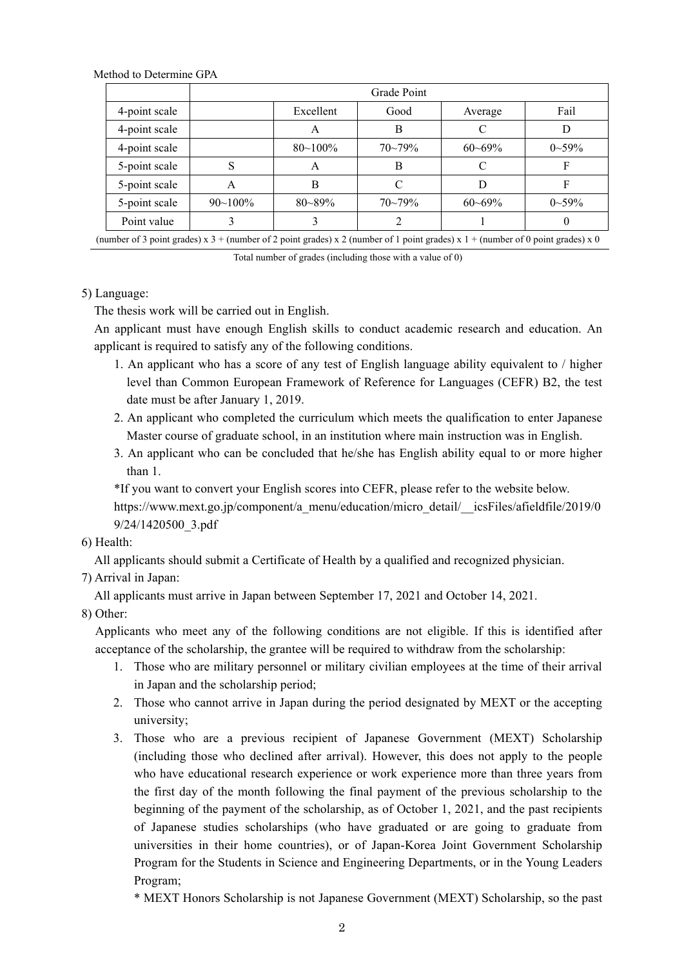Method to Determine GPA

|               | Grade Point  |              |             |             |              |
|---------------|--------------|--------------|-------------|-------------|--------------|
| 4-point scale |              | Excellent    | Good        | Average     | Fail         |
| 4-point scale |              | А            | B           | C           | D            |
| 4-point scale |              | $80 - 100\%$ | $70 - 79\%$ | $60 - 69\%$ | $0\sim 59\%$ |
| 5-point scale | S            | A            | B           | C           | F            |
| 5-point scale | A            | B            | C           | D           | F            |
| 5-point scale | $90 - 100\%$ | $80 - 89\%$  | $70 - 79\%$ | $60 - 69\%$ | $0\sim 59\%$ |
| Point value   |              |              |             |             | U            |

(number of 3 point grades) x  $3 +$  (number of 2 point grades) x 2 (number of 1 point grades) x  $1 +$  (number of 0 point grades) x 0

Total number of grades (including those with a value of 0)

#### 5) Language:

The thesis work will be carried out in English.

 An applicant must have enough English skills to conduct academic research and education. An applicant is required to satisfy any of the following conditions.

- 1. An applicant who has a score of any test of English language ability equivalent to / higher level than Common European Framework of Reference for Languages (CEFR) B2, the test date must be after January 1, 2019.
- 2. An applicant who completed the curriculum which meets the qualification to enter Japanese Master course of graduate school, in an institution where main instruction was in English.
- 3. An applicant who can be concluded that he/she has English ability equal to or more higher than 1.

\*If you want to convert your English scores into CEFR, please refer to the website below.

https://www.mext.go.jp/component/a\_menu/education/micro\_detail/\_\_icsFiles/afieldfile/2019/0 9/24/1420500\_3.pdf

#### 6) Health:

All applicants should submit a Certificate of Health by a qualified and recognized physician.

#### 7) Arrival in Japan:

All applicants must arrive in Japan between September 17, 2021 and October 14, 2021.

#### 8) Other:

Applicants who meet any of the following conditions are not eligible. If this is identified after acceptance of the scholarship, the grantee will be required to withdraw from the scholarship:

- 1. Those who are military personnel or military civilian employees at the time of their arrival in Japan and the scholarship period;
- 2. Those who cannot arrive in Japan during the period designated by MEXT or the accepting university;
- 3. Those who are a previous recipient of Japanese Government (MEXT) Scholarship (including those who declined after arrival). However, this does not apply to the people who have educational research experience or work experience more than three years from the first day of the month following the final payment of the previous scholarship to the beginning of the payment of the scholarship, as of October 1, 2021, and the past recipients of Japanese studies scholarships (who have graduated or are going to graduate from universities in their home countries), or of Japan-Korea Joint Government Scholarship Program for the Students in Science and Engineering Departments, or in the Young Leaders Program;
	- \* MEXT Honors Scholarship is not Japanese Government (MEXT) Scholarship, so the past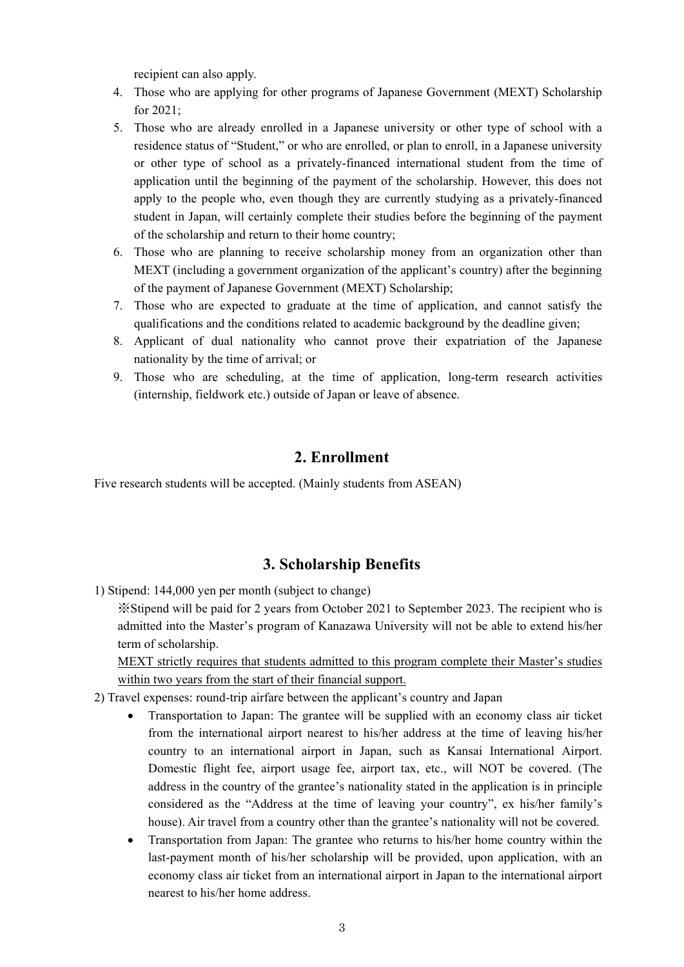recipient can also apply.

- 4. Those who are applying for other programs of Japanese Government (MEXT) Scholarship for 2021;
- 5. Those who are already enrolled in a Japanese university or other type of school with a residence status of "Student," or who are enrolled, or plan to enroll, in a Japanese university or other type of school as a privately-financed international student from the time of application until the beginning of the payment of the scholarship. However, this does not apply to the people who, even though they are currently studying as a privately-financed student in Japan, will certainly complete their studies before the beginning of the payment of the scholarship and return to their home country;
- 6. Those who are planning to receive scholarship money from an organization other than MEXT (including a government organization of the applicant's country) after the beginning of the payment of Japanese Government (MEXT) Scholarship;
- 7. Those who are expected to graduate at the time of application, and cannot satisfy the qualifications and the conditions related to academic background by the deadline given;
- 8. Applicant of dual nationality who cannot prove their expatriation of the Japanese nationality by the time of arrival; or
- 9. Those who are scheduling, at the time of application, long-term research activities (internship, fieldwork etc.) outside of Japan or leave of absence.

#### **2. Enrollment**

Five research students will be accepted. (Mainly students from ASEAN)

## **3. Scholarship Benefits**

1) Stipend: 144,000 yen per month (subject to change)

※Stipend will be paid for 2 years from October 2021 to September 2023. The recipient who is admitted into the Master's program of Kanazawa University will not be able to extend his/her term of scholarship.

MEXT strictly requires that students admitted to this program complete their Master's studies within two years from the start of their financial support.

- 2) Travel expenses: round-trip airfare between the applicant's country and Japan
	- Transportation to Japan: The grantee will be supplied with an economy class air ticket from the international airport nearest to his/her address at the time of leaving his/her country to an international airport in Japan, such as Kansai International Airport. Domestic flight fee, airport usage fee, airport tax, etc., will NOT be covered. (The address in the country of the grantee's nationality stated in the application is in principle considered as the "Address at the time of leaving your country", ex his/her family's house). Air travel from a country other than the grantee's nationality will not be covered.
	- Transportation from Japan: The grantee who returns to his/her home country within the last-payment month of his/her scholarship will be provided, upon application, with an economy class air ticket from an international airport in Japan to the international airport nearest to his/her home address.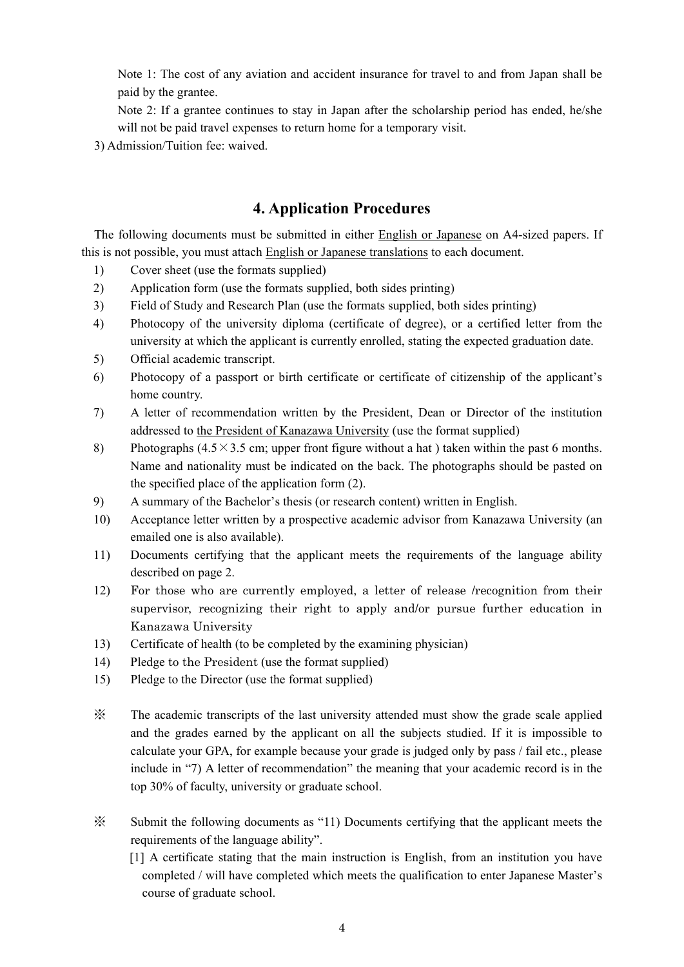Note 1: The cost of any aviation and accident insurance for travel to and from Japan shall be paid by the grantee.

Note 2: If a grantee continues to stay in Japan after the scholarship period has ended, he/she will not be paid travel expenses to return home for a temporary visit.

3) Admission/Tuition fee: waived.

## **4. Application Procedures**

 The following documents must be submitted in either English or Japanese on A4-sized papers. If this is not possible, you must attach English or Japanese translations to each document.

- 1) Cover sheet (use the formats supplied)
- 2) Application form (use the formats supplied, both sides printing)
- 3) Field of Study and Research Plan (use the formats supplied, both sides printing)
- 4) Photocopy of the university diploma (certificate of degree), or a certified letter from the university at which the applicant is currently enrolled, stating the expected graduation date.
- 5) Official academic transcript.
- 6) Photocopy of a passport or birth certificate or certificate of citizenship of the applicant's home country.
- 7) A letter of recommendation written by the President, Dean or Director of the institution addressed to the President of Kanazawa University (use the format supplied)
- 8) Photographs (4.5×3.5 cm; upper front figure without a hat) taken within the past 6 months. Name and nationality must be indicated on the back. The photographs should be pasted on the specified place of the application form (2).
- 9) A summary of the Bachelor's thesis (or research content) written in English.
- 10) Acceptance letter written by a prospective academic advisor from Kanazawa University (an emailed one is also available).
- 11) Documents certifying that the applicant meets the requirements of the language ability described on page 2.
- 12) For those who are currently employed, a letter of release /recognition from their supervisor, recognizing their right to apply and/or pursue further education in Kanazawa University
- 13) Certificate of health (to be completed by the examining physician)
- 14) Pledge to the President (use the format supplied)
- 15) Pledge to the Director (use the format supplied)
- ※ The academic transcripts of the last university attended must show the grade scale applied and the grades earned by the applicant on all the subjects studied. If it is impossible to calculate your GPA, for example because your grade is judged only by pass / fail etc., please include in "7) A letter of recommendation" the meaning that your academic record is in the top 30% of faculty, university or graduate school.
- ※ Submit the following documents as "11) Documents certifying that the applicant meets the requirements of the language ability".
	- [1] A certificate stating that the main instruction is English, from an institution you have completed / will have completed which meets the qualification to enter Japanese Master's course of graduate school.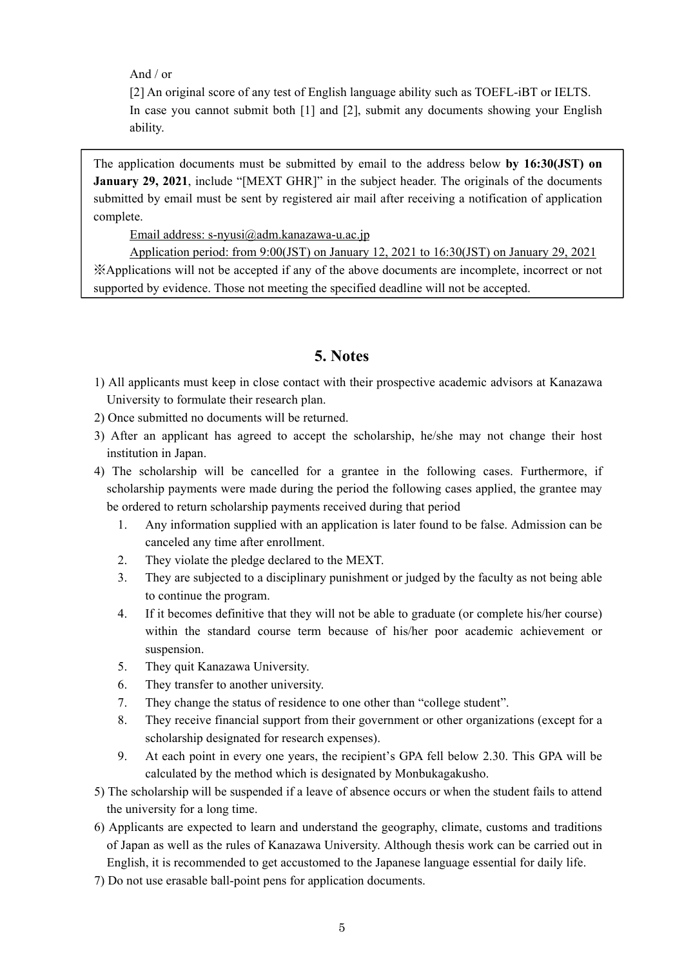And / or

[2] An original score of any test of English language ability such as TOEFL-iBT or IELTS. In case you cannot submit both [1] and [2], submit any documents showing your English ability.

The application documents must be submitted by email to the address below **by 16:30(JST) on January 29, 2021**, include "[MEXT GHR]" in the subject header. The originals of the documents submitted by email must be sent by registered air mail after receiving a notification of application complete.

Email address: s-nyusi@adm.kanazawa-u.ac.jp

Application period: from 9:00(JST) on January 12, 2021 to 16:30(JST) on January 29, 2021 ※Applications will not be accepted if any of the above documents are incomplete, incorrect or not supported by evidence. Those not meeting the specified deadline will not be accepted.

## **5. Notes**

- 1) All applicants must keep in close contact with their prospective academic advisors at Kanazawa University to formulate their research plan.
- 2) Once submitted no documents will be returned.
- 3) After an applicant has agreed to accept the scholarship, he/she may not change their host institution in Japan.
- 4) The scholarship will be cancelled for a grantee in the following cases. Furthermore, if scholarship payments were made during the period the following cases applied, the grantee may be ordered to return scholarship payments received during that period
	- 1. Any information supplied with an application is later found to be false. Admission can be canceled any time after enrollment.
	- 2. They violate the pledge declared to the MEXT.
	- 3. They are subjected to a disciplinary punishment or judged by the faculty as not being able to continue the program.
	- 4. If it becomes definitive that they will not be able to graduate (or complete his/her course) within the standard course term because of his/her poor academic achievement or suspension.
	- 5. They quit Kanazawa University.
	- 6. They transfer to another university.
	- 7. They change the status of residence to one other than "college student".
	- 8. They receive financial support from their government or other organizations (except for a scholarship designated for research expenses).
	- 9. At each point in every one years, the recipient's GPA fell below 2.30. This GPA will be calculated by the method which is designated by Monbukagakusho.
- 5) The scholarship will be suspended if a leave of absence occurs or when the student fails to attend the university for a long time.
- 6) Applicants are expected to learn and understand the geography, climate, customs and traditions of Japan as well as the rules of Kanazawa University. Although thesis work can be carried out in English, it is recommended to get accustomed to the Japanese language essential for daily life.
- 7) Do not use erasable ball-point pens for application documents.